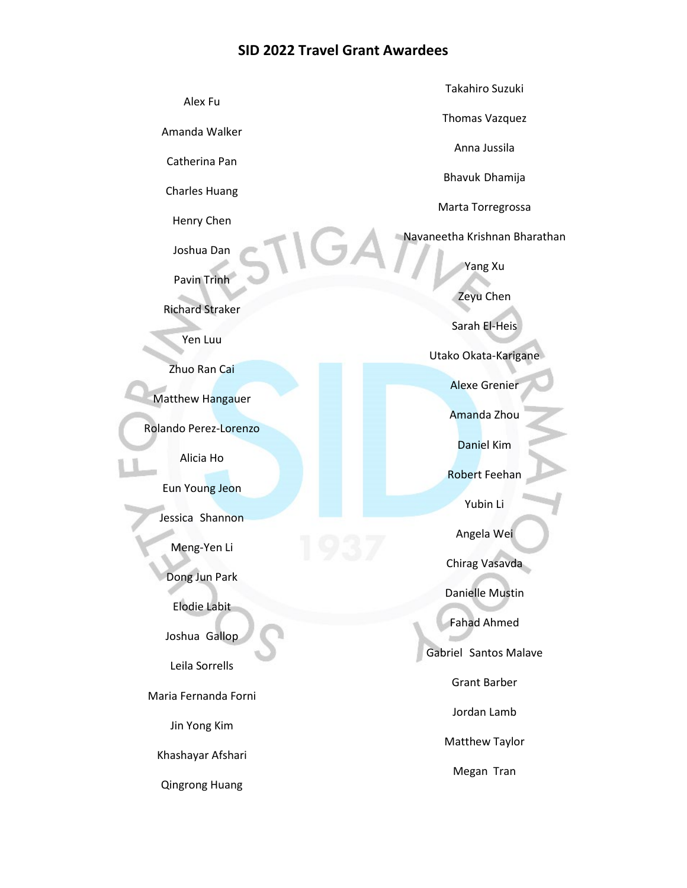## **SID 2022 Travel Grant Awardees**

|                        | Takahiro Suzuki               |
|------------------------|-------------------------------|
| Alex Fu                | Thomas Vazquez                |
| Amanda Walker          | Anna Jussila                  |
| Catherina Pan          |                               |
| <b>Charles Huang</b>   | Bhavuk Dhamija                |
|                        | Marta Torregrossa             |
| Henry Chen             | Navaneetha Krishnan Bharathan |
| Joshua Dan             | Yang Xu                       |
| Pavin Trinh            |                               |
| <b>Richard Straker</b> | Zeyu Chen                     |
| Yen Luu                | Sarah El-Heis                 |
|                        | Utako Okata-Karigane          |
| Zhuo Ran Cai           | <b>Alexe Grenier</b>          |
| Matthew Hangauer       |                               |
| Rolando Perez-Lorenzo  | Amanda Zhou                   |
| Alicia Ho              | <b>Daniel Kim</b>             |
|                        | <b>Robert Feehan</b>          |
| Eun Young Jeon         | Yubin Li                      |
| Jessica Shannon        |                               |
| Meng-Yen Li            | Angela Wei                    |
| Dong Jun Park          | Chirag Vasavda                |
|                        | <b>Danielle Mustin</b>        |
| <b>Elodie Labit</b>    | <b>Fahad Ahmed</b>            |
| Joshua Gallop          | Gabriel Santos Malave         |
| Leila Sorrells         |                               |
| Maria Fernanda Forni   | <b>Grant Barber</b>           |
| Jin Yong Kim           | Jordan Lamb                   |
|                        | Matthew Taylor                |
| Khashayar Afshari      | Megan Tran                    |
| <b>Qingrong Huang</b>  |                               |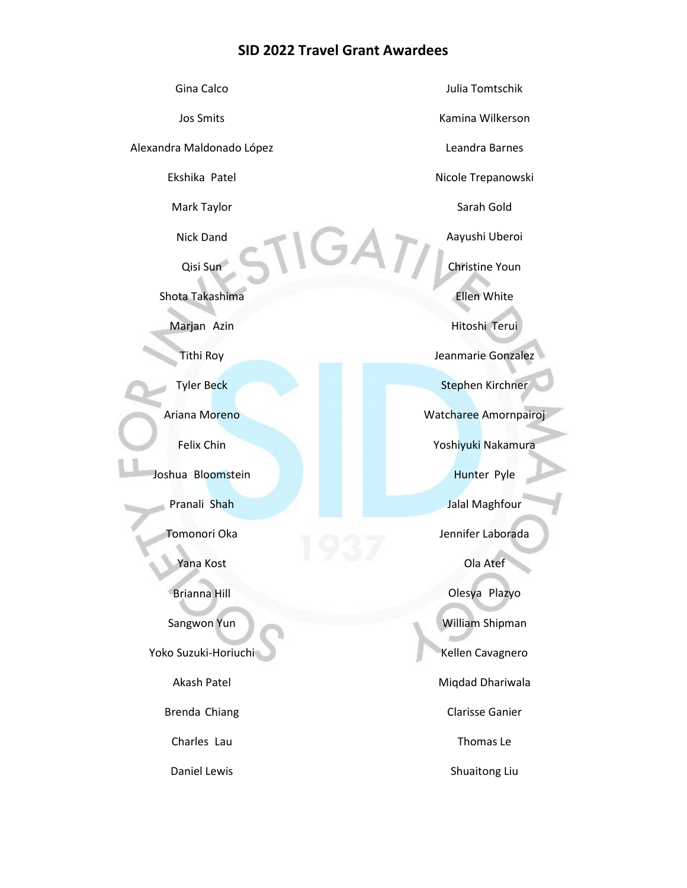## **SID 2022 Travel Grant Awardees**

| Gina Calco                | Julia Tomtschik         |
|---------------------------|-------------------------|
| <b>Jos Smits</b>          | Kamina Wilkerson        |
| Alexandra Maldonado López | Leandra Barnes          |
| Ekshika Patel             | Nicole Trepanowski      |
| Mark Taylor               | Sarah Gold              |
| <b>Nick Dand</b>          | Aayushi Uberoi          |
| Qisi Sun                  | Christine Youn          |
| Shota Takashima           | <b>Ellen White</b>      |
| Marjan Azin               | Hitoshi Terui           |
| <b>Tithi Roy</b>          | Jeanmarie Gonzalez      |
| <b>Tyler Beck</b>         | <b>Stephen Kirchner</b> |
| Ariana Moreno             | Watcharee Amornpairoj   |
| Felix Chin                | Yoshiyuki Nakamura      |
| Joshua Bloomstein         | Hunter Pyle             |
| Pranali Shah              | Jalal Maghfour          |
| Tomonori Oka              | Jennifer Laborada       |
| Yana Kost                 | Ola Atef                |
| <b>Brianna Hill</b>       | Olesya Plazyo           |
| Sangwon Yun               | William Shipman         |
| Yoko Suzuki-Horiuchi      | Kellen Cavagnero        |
| Akash Patel               | Miqdad Dhariwala        |
| Brenda Chiang             | <b>Clarisse Ganier</b>  |
| Charles Lau               | Thomas Le               |
| Daniel Lewis              | Shuaitong Liu           |
|                           |                         |